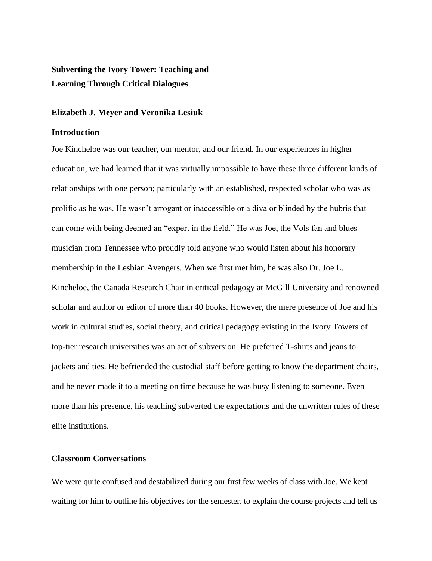# **Subverting the Ivory Tower: Teaching and Learning Through Critical Dialogues**

#### **Elizabeth J. Meyer and Veronika Lesiuk**

#### **Introduction**

Joe Kincheloe was our teacher, our mentor, and our friend. In our experiences in higher education, we had learned that it was virtually impossible to have these three different kinds of relationships with one person; particularly with an established, respected scholar who was as prolific as he was. He wasn't arrogant or inaccessible or a diva or blinded by the hubris that can come with being deemed an "expert in the field." He was Joe, the Vols fan and blues musician from Tennessee who proudly told anyone who would listen about his honorary membership in the Lesbian Avengers. When we first met him, he was also Dr. Joe L. Kincheloe, the Canada Research Chair in critical pedagogy at McGill University and renowned scholar and author or editor of more than 40 books. However, the mere presence of Joe and his work in cultural studies, social theory, and critical pedagogy existing in the Ivory Towers of top-tier research universities was an act of subversion. He preferred T-shirts and jeans to jackets and ties. He befriended the custodial staff before getting to know the department chairs, and he never made it to a meeting on time because he was busy listening to someone. Even more than his presence, his teaching subverted the expectations and the unwritten rules of these elite institutions.

## **Classroom Conversations**

We were quite confused and destabilized during our first few weeks of class with Joe. We kept waiting for him to outline his objectives for the semester, to explain the course projects and tell us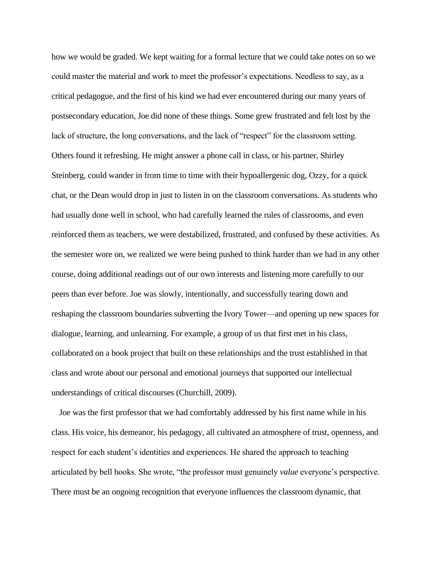how we would be graded. We kept waiting for a formal lecture that we could take notes on so we could master the material and work to meet the professor's expectations. Needless to say, as a critical pedagogue, and the first of his kind we had ever encountered during our many years of postsecondary education, Joe did none of these things. Some grew frustrated and felt lost by the lack of structure, the long conversations, and the lack of "respect" for the classroom setting. Others found it refreshing. He might answer a phone call in class, or his partner, Shirley Steinberg, could wander in from time to time with their hypoallergenic dog, Ozzy, for a quick chat, or the Dean would drop in just to listen in on the classroom conversations. As students who had usually done well in school, who had carefully learned the rules of classrooms, and even reinforced them as teachers, we were destabilized, frustrated, and confused by these activities. As the semester wore on, we realized we were being pushed to think harder than we had in any other course, doing additional readings out of our own interests and listening more carefully to our peers than ever before. Joe was slowly, intentionally, and successfully tearing down and reshaping the classroom boundaries subverting the Ivory Tower—and opening up new spaces for dialogue, learning, and unlearning. For example, a group of us that first met in his class, collaborated on a book project that built on these relationships and the trust established in that class and wrote about our personal and emotional journeys that supported our intellectual understandings of critical discourses (Churchill, 2009).

Joe was the first professor that we had comfortably addressed by his first name while in his class. His voice, his demeanor, his pedagogy, all cultivated an atmosphere of trust, openness, and respect for each student's identities and experiences. He shared the approach to teaching articulated by bell hooks. She wrote, "the professor must genuinely *value* everyone's perspective. There must be an ongoing recognition that everyone influences the classroom dynamic, that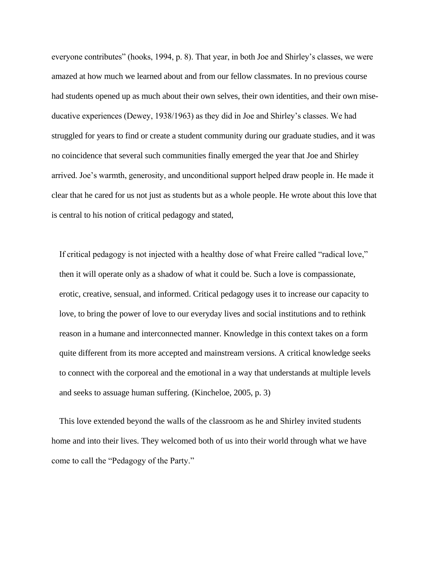everyone contributes" (hooks, 1994, p. 8). That year, in both Joe and Shirley's classes, we were amazed at how much we learned about and from our fellow classmates. In no previous course had students opened up as much about their own selves, their own identities, and their own miseducative experiences (Dewey, 1938/1963) as they did in Joe and Shirley's classes. We had struggled for years to find or create a student community during our graduate studies, and it was no coincidence that several such communities finally emerged the year that Joe and Shirley arrived. Joe's warmth, generosity, and unconditional support helped draw people in. He made it clear that he cared for us not just as students but as a whole people. He wrote about this love that is central to his notion of critical pedagogy and stated,

If critical pedagogy is not injected with a healthy dose of what Freire called "radical love," then it will operate only as a shadow of what it could be. Such a love is compassionate, erotic, creative, sensual, and informed. Critical pedagogy uses it to increase our capacity to love, to bring the power of love to our everyday lives and social institutions and to rethink reason in a humane and interconnected manner. Knowledge in this context takes on a form quite different from its more accepted and mainstream versions. A critical knowledge seeks to connect with the corporeal and the emotional in a way that understands at multiple levels and seeks to assuage human suffering. (Kincheloe, 2005, p. 3)

This love extended beyond the walls of the classroom as he and Shirley invited students home and into their lives. They welcomed both of us into their world through what we have come to call the "Pedagogy of the Party."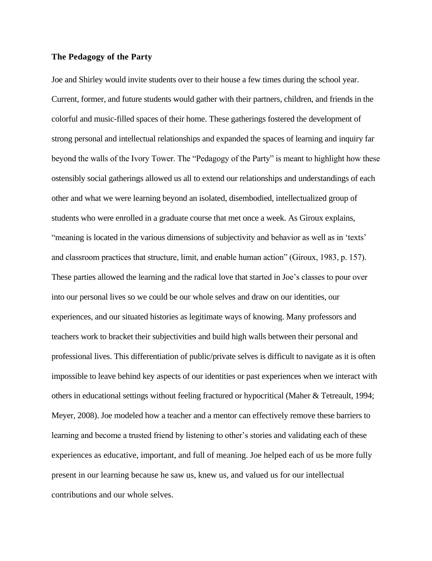## **The Pedagogy of the Party**

Joe and Shirley would invite students over to their house a few times during the school year. Current, former, and future students would gather with their partners, children, and friends in the colorful and music-filled spaces of their home. These gatherings fostered the development of strong personal and intellectual relationships and expanded the spaces of learning and inquiry far beyond the walls of the Ivory Tower. The "Pedagogy of the Party" is meant to highlight how these ostensibly social gatherings allowed us all to extend our relationships and understandings of each other and what we were learning beyond an isolated, disembodied, intellectualized group of students who were enrolled in a graduate course that met once a week. As Giroux explains, "meaning is located in the various dimensions of subjectivity and behavior as well as in 'texts' and classroom practices that structure, limit, and enable human action" (Giroux, 1983, p. 157). These parties allowed the learning and the radical love that started in Joe's classes to pour over into our personal lives so we could be our whole selves and draw on our identities, our experiences, and our situated histories as legitimate ways of knowing. Many professors and teachers work to bracket their subjectivities and build high walls between their personal and professional lives. This differentiation of public/private selves is difficult to navigate as it is often impossible to leave behind key aspects of our identities or past experiences when we interact with others in educational settings without feeling fractured or hypocritical (Maher & Tetreault, 1994; Meyer, 2008). Joe modeled how a teacher and a mentor can effectively remove these barriers to learning and become a trusted friend by listening to other's stories and validating each of these experiences as educative, important, and full of meaning. Joe helped each of us be more fully present in our learning because he saw us, knew us, and valued us for our intellectual contributions and our whole selves.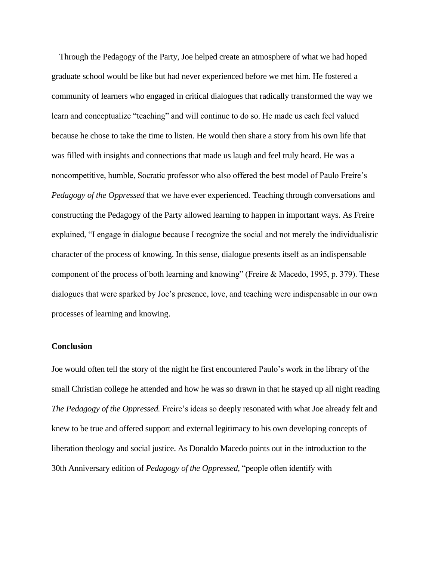Through the Pedagogy of the Party, Joe helped create an atmosphere of what we had hoped graduate school would be like but had never experienced before we met him. He fostered a community of learners who engaged in critical dialogues that radically transformed the way we learn and conceptualize "teaching" and will continue to do so. He made us each feel valued because he chose to take the time to listen. He would then share a story from his own life that was filled with insights and connections that made us laugh and feel truly heard. He was a noncompetitive, humble, Socratic professor who also offered the best model of Paulo Freire's *Pedagogy of the Oppressed* that we have ever experienced. Teaching through conversations and constructing the Pedagogy of the Party allowed learning to happen in important ways. As Freire explained, "I engage in dialogue because I recognize the social and not merely the individualistic character of the process of knowing. In this sense, dialogue presents itself as an indispensable component of the process of both learning and knowing" (Freire & Macedo, 1995, p. 379). These dialogues that were sparked by Joe's presence, love, and teaching were indispensable in our own processes of learning and knowing.

# **Conclusion**

Joe would often tell the story of the night he first encountered Paulo's work in the library of the small Christian college he attended and how he was so drawn in that he stayed up all night reading *The Pedagogy of the Oppressed.* Freire's ideas so deeply resonated with what Joe already felt and knew to be true and offered support and external legitimacy to his own developing concepts of liberation theology and social justice. As Donaldo Macedo points out in the introduction to the 30th Anniversary edition of *Pedagogy of the Oppressed,* "people often identify with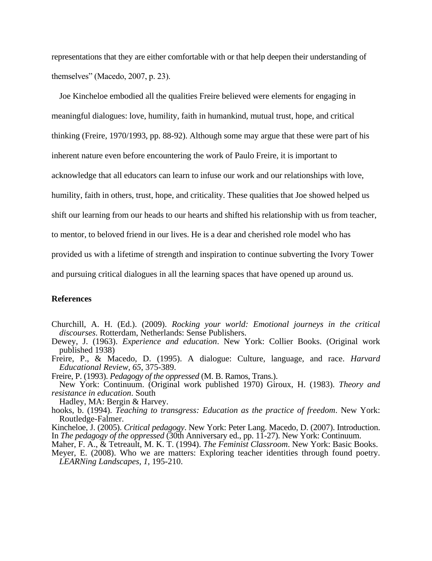representations that they are either comfortable with or that help deepen their understanding of themselves" (Macedo, 2007, p. 23).

Joe Kincheloe embodied all the qualities Freire believed were elements for engaging in meaningful dialogues: love, humility, faith in humankind, mutual trust, hope, and critical thinking (Freire, 1970/1993, pp. 88-92). Although some may argue that these were part of his inherent nature even before encountering the work of Paulo Freire, it is important to acknowledge that all educators can learn to infuse our work and our relationships with love, humility, faith in others, trust, hope, and criticality. These qualities that Joe showed helped us shift our learning from our heads to our hearts and shifted his relationship with us from teacher, to mentor, to beloved friend in our lives. He is a dear and cherished role model who has provided us with a lifetime of strength and inspiration to continue subverting the Ivory Tower

and pursuing critical dialogues in all the learning spaces that have opened up around us.

#### **References**

- Churchill, A. H. (Ed.). (2009). *Rocking your world: Emotional journeys in the critical discourses*. Rotterdam, Netherlands: Sense Publishers.
- Dewey, J. (1963). *Experience and education*. New York: Collier Books. (Original work published 1938)
- Freire, P., & Macedo, D. (1995). A dialogue: Culture, language, and race. *Harvard Educational Review, 65*, 375-389.

Freire, P. (1993). *Pedagogy of the oppressed* (M. B. Ramos, Trans.).

- New York: Continuum. (Original work published 1970) Giroux, H. (1983). *Theory and resistance in education*. South
- Hadley, MA: Bergin & Harvey.
- hooks, b. (1994). *Teaching to transgress: Education as the practice of freedom*. New York: Routledge-Falmer.
- Kincheloe, J. (2005). *Critical pedagogy*. New York: Peter Lang. Macedo, D. (2007). Introduction. In *The pedagogy of the oppressed* (30th Anniversary ed., pp. 11-27). New York: Continuum.

Maher, F. A., & Tetreault, M. K. T. (1994). *The Feminist Classroom*. New York: Basic Books.

Meyer, E. (2008). Who we are matters: Exploring teacher identities through found poetry. *LEARNing Landscapes, 1*, 195-210.